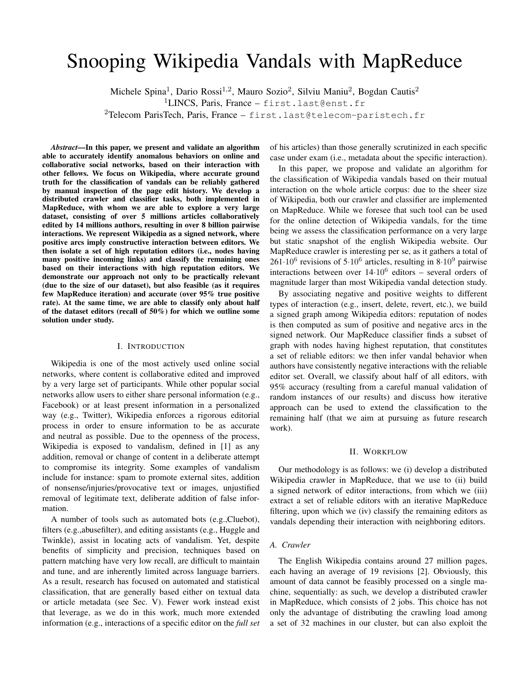# Snooping Wikipedia Vandals with MapReduce

Michele Spina<sup>1</sup>, Dario Rossi<sup>1,2</sup>, Mauro Sozio<sup>2</sup>, Silviu Maniu<sup>2</sup>, Bogdan Cautis<sup>2</sup>

<sup>1</sup>LINCS, Paris, France – first.last@enst.fr

<sup>2</sup>Telecom ParisTech, Paris, France – first.last@telecom-paristech.fr

*Abstract*—In this paper, we present and validate an algorithm able to accurately identify anomalous behaviors on online and collaborative social networks, based on their interaction with other fellows. We focus on Wikipedia, where accurate ground truth for the classification of vandals can be reliably gathered by manual inspection of the page edit history. We develop a distributed crawler and classifier tasks, both implemented in MapReduce, with whom we are able to explore a very large dataset, consisting of over 5 millions articles collaboratively edited by 14 millions authors, resulting in over 8 billion pairwise interactions. We represent Wikipedia as a signed network, where positive arcs imply constructive interaction between editors. We then isolate a set of high reputation editors (i.e., nodes having many positive incoming links) and classify the remaining ones based on their interactions with high reputation editors. We demonstrate our approach not only to be practically relevant (due to the size of our dataset), but also feasible (as it requires few MapReduce iteration) and accurate (over 95% true positive rate). At the same time, we are able to classify only about half of the dataset editors (recall of 50%) for which we outline some solution under study.

# I. INTRODUCTION

Wikipedia is one of the most actively used online social networks, where content is collaborative edited and improved by a very large set of participants. While other popular social networks allow users to either share personal information (e.g., Facebook) or at least present information in a personalized way (e.g., Twitter), Wikipedia enforces a rigorous editorial process in order to ensure information to be as accurate and neutral as possible. Due to the openness of the process, Wikipedia is exposed to vandalism, defined in [1] as any addition, removal or change of content in a deliberate attempt to compromise its integrity. Some examples of vandalism include for instance: spam to promote external sites, addition of nonsense/injuries/provocative text or images, unjustified removal of legitimate text, deliberate addition of false information.

A number of tools such as automated bots (e.g.,Cluebot), filters (e.g.,abusefilter), and editing assistants (e.g., Huggle and Twinkle), assist in locating acts of vandalism. Yet, despite benefits of simplicity and precision, techniques based on pattern matching have very low recall, are difficult to maintain and tune, and are inherently limited across language barriers. As a result, research has focused on automated and statistical classification, that are generally based either on textual data or article metadata (see Sec. V). Fewer work instead exist that leverage, as we do in this work, much more extended information (e.g., interactions of a specific editor on the *full set*

of his articles) than those generally scrutinized in each specific case under exam (i.e., metadata about the specific interaction).

In this paper, we propose and validate an algorithm for the classification of Wikipedia vandals based on their mutual interaction on the whole article corpus: due to the sheer size of Wikipedia, both our crawler and classifier are implemented on MapReduce. While we foresee that such tool can be used for the online detection of Wikipedia vandals, for the time being we assess the classification performance on a very large but static snapshot of the english Wikipedia website. Our MapReduce crawler is interesting per se, as it gathers a total of 261*·*10<sup>6</sup> revisions of 5*·*10<sup>6</sup> articles, resulting in 8*·*10<sup>9</sup> pairwise interactions between over 14*·*10<sup>6</sup> editors – several orders of magnitude larger than most Wikipedia vandal detection study.

By associating negative and positive weights to different types of interaction (e.g., insert, delete, revert, etc.), we build a signed graph among Wikipedia editors: reputation of nodes is then computed as sum of positive and negative arcs in the signed network. Our MapReduce classifier finds a subset of graph with nodes having highest reputation, that constitutes a set of reliable editors: we then infer vandal behavior when authors have consistently negative interactions with the reliable editor set. Overall, we classify about half of all editors, with 95% accuracy (resulting from a careful manual validation of random instances of our results) and discuss how iterative approach can be used to extend the classification to the remaining half (that we aim at pursuing as future research work).

#### II. WORKFLOW

Our methodology is as follows: we (i) develop a distributed Wikipedia crawler in MapReduce, that we use to (ii) build a signed network of editor interactions, from which we (iii) extract a set of reliable editors with an iterative MapReduce filtering, upon which we (iv) classify the remaining editors as vandals depending their interaction with neighboring editors.

## *A. Crawler*

The English Wikipedia contains around 27 million pages, each having an average of 19 revisions [2]. Obviously, this amount of data cannot be feasibly processed on a single machine, sequentially: as such, we develop a distributed crawler in MapReduce, which consists of 2 jobs. This choice has not only the advantage of distributing the crawling load among a set of 32 machines in our cluster, but can also exploit the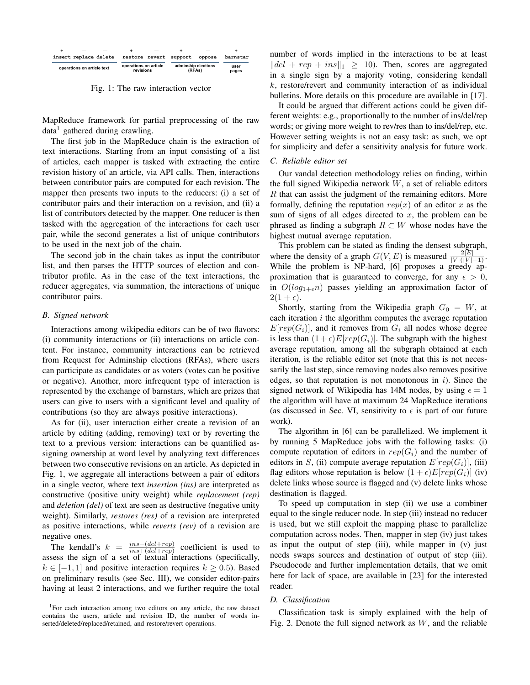|                       |                            | - |                                    | $\overline{\phantom{a}}$ |                               |        |               |
|-----------------------|----------------------------|---|------------------------------------|--------------------------|-------------------------------|--------|---------------|
| insert replace delete |                            |   | restore revert                     |                          | support                       | oppose | barnstar      |
|                       | operations on article text |   | operations on article<br>revisions |                          | adminship elections<br>(RFAs) |        | user<br>pages |

Fig. 1: The raw interaction vector

MapReduce framework for partial preprocessing of the raw data<sup>1</sup> gathered during crawling.

The first job in the MapReduce chain is the extraction of text interactions. Starting from an input consisting of a list of articles, each mapper is tasked with extracting the entire revision history of an article, via API calls. Then, interactions between contributor pairs are computed for each revision. The mapper then presents two inputs to the reducers: (i) a set of contributor pairs and their interaction on a revision, and (ii) a list of contributors detected by the mapper. One reducer is then tasked with the aggregation of the interactions for each user pair, while the second generates a list of unique contributors to be used in the next job of the chain.

The second job in the chain takes as input the contributor list, and then parses the HTTP sources of election and contributor profile. As in the case of the text interactions, the reducer aggregates, via summation, the interactions of unique contributor pairs.

# *B. Signed network*

Interactions among wikipedia editors can be of two flavors: (i) community interactions or (ii) interactions on article content. For instance, community interactions can be retrieved from Request for Adminship elections (RFAs), where users can participate as candidates or as voters (votes can be positive or negative). Another, more infrequent type of interaction is represented by the exchange of barnstars, which are prizes that users can give to users with a significant level and quality of contributions (so they are always positive interactions).

As for (ii), user interaction either create a revision of an article by editing (adding, removing) text or by reverting the text to a previous version: interactions can be quantified assigning ownership at word level by analyzing text differences between two consecutive revisions on an article. As depicted in Fig. 1, we aggregate all interactions between a pair of editors in a single vector, where text *insertion (ins)* are interpreted as constructive (positive unity weight) while *replacement (rep)* and *deletion (del)* of text are seen as destructive (negative unity weight). Similarly, *restores (res)* of a revision are interpreted as positive interactions, while *reverts (rev)* of a revision are negative ones.

The kendall's  $k = \frac{ins-(del+rep)}{ins+(del+rep)}$  coefficient is used to assess the sign of a set of textual interactions (specifically,  $k \in [-1, 1]$  and positive interaction requires  $k \geq 0.5$ ). Based on preliminary results (see Sec. III), we consider editor-pairs having at least 2 interactions, and we further require the total number of words implied in the interactions to be at least  $||del + rep + ins||_1 \ge 10$ . Then, scores are aggregated in a single sign by a majority voting, considering kendall *k*, restore/revert and community interaction of as individual bulletins. More details on this procedure are available in [17].

It could be argued that different actions could be given different weights: e.g., proportionally to the number of ins/del/rep words; or giving more weight to rev/res than to ins/del/rep, etc. However setting weights is not an easy task: as such, we opt for simplicity and defer a sensitivity analysis for future work.

# *C. Reliable editor set*

Our vandal detection methodology relies on finding, within the full signed Wikipedia network *W*, a set of reliable editors *R* that can assist the judgment of the remaining editors. More formally, defining the reputation  $rep(x)$  of an editor  $x$  as the sum of signs of all edges directed to *x*, the problem can be phrased as finding a subgraph  $R \subset W$  whose nodes have the highest mutual average reputation.

This problem can be stated as finding the densest subgraph, where the density of a graph  $G(V, E)$  is measured  $\frac{2|E|}{|V|(|V|-1)}$ .<br>While the problem is NP-hard, [6] proposes a greedy approximation that is guaranteed to converge, for any  $\epsilon > 0$ , in  $O(log_{1+\epsilon}n)$  passes yielding an approximation factor of  $2(1+\epsilon).$ 

Shortly, starting from the Wikipedia graph  $G_0 = W$ , at each iteration *i* the algorithm computes the average reputation  $E[rep(G_i)]$ , and it removes from  $G_i$  all nodes whose degree is less than  $(1+\epsilon)E[rep(G_i)]$ . The subgraph with the highest average reputation, among all the subgraph obtained at each iteration, is the reliable editor set (note that this is not necessarily the last step, since removing nodes also removes positive edges, so that reputation is not monotonous in *i*). Since the signed network of Wikipedia has 14M nodes, by using  $\epsilon = 1$ the algorithm will have at maximum 24 MapReduce iterations (as discussed in Sec. VI, sensitivity to  $\epsilon$  is part of our future work).

The algorithm in [6] can be parallelized. We implement it by running 5 MapReduce jobs with the following tasks: (i) compute reputation of editors in  $rep(G_i)$  and the number of editors in *S*, (ii) compute average reputation  $E[rep(G_i)]$ , (iii) flag editors whose reputation is below  $(1 + \epsilon)E[rep(G_i)]$  (iv) delete links whose source is flagged and (v) delete links whose destination is flagged.

To speed up computation in step (ii) we use a combiner equal to the single reducer node. In step (iii) instead no reducer is used, but we still exploit the mapping phase to parallelize computation across nodes. Then, mapper in step (iv) just takes as input the output of step (iii), while mapper in (v) just needs swaps sources and destination of output of step (iii). Pseudocode and further implementation details, that we omit here for lack of space, are available in [23] for the interested reader.

#### *D. Classification*

Classification task is simply explained with the help of Fig. 2. Denote the full signed network as *W*, and the reliable

<sup>&</sup>lt;sup>1</sup>For each interaction among two editors on any article, the raw dataset contains the users, article and revision ID, the number of words inserted/deleted/replaced/retained, and restore/revert operations.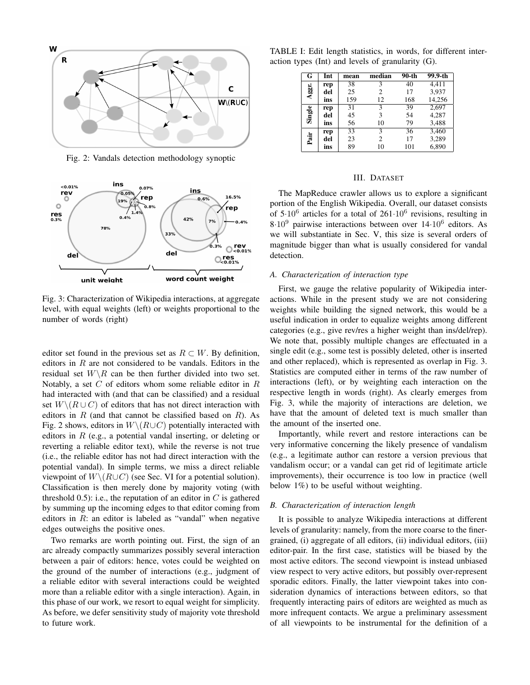

Fig. 2: Vandals detection methodology synoptic



Fig. 3: Characterization of Wikipedia interactions, at aggregate level, with equal weights (left) or weights proportional to the number of words (right)

editor set found in the previous set as  $R \subset W$ . By definition, editors in *R* are not considered to be vandals. Editors in the residual set  $W \backslash R$  can be then further divided into two set. Notably, a set *C* of editors whom some reliable editor in *R* had interacted with (and that can be classified) and a residual set  $W \setminus (R \cup C)$  of editors that has not direct interaction with editors in *R* (and that cannot be classified based on *R*). As Fig. 2 shows, editors in  $W \setminus (R \cup C)$  potentially interacted with editors in *R* (e.g., a potential vandal inserting, or deleting or reverting a reliable editor text), while the reverse is not true (i.e., the reliable editor has not had direct interaction with the potential vandal). In simple terms, we miss a direct reliable viewpoint of  $W \setminus (R \cup C)$  (see Sec. VI for a potential solution). Classification is then merely done by majority voting (with threshold  $(0.5)$ : i.e., the reputation of an editor in  $C$  is gathered by summing up the incoming edges to that editor coming from editors in *R*: an editor is labeled as "vandal" when negative edges outweighs the positive ones.

Two remarks are worth pointing out. First, the sign of an arc already compactly summarizes possibly several interaction between a pair of editors: hence, votes could be weighted on the ground of the number of interactions (e.g., judgment of a reliable editor with several interactions could be weighted more than a reliable editor with a single interaction). Again, in this phase of our work, we resort to equal weight for simplicity. As before, we defer sensitivity study of majority vote threshold to future work.

TABLE I: Edit length statistics, in words, for different interaction types (Int) and levels of granularity (G).

| G      | Int | mean            | median         | $90 - th$ | $99.9 - th$ |
|--------|-----|-----------------|----------------|-----------|-------------|
|        | rep | 38              | 3              | 40        | 4,411       |
| Aggr.  | del | 25              | $\overline{c}$ | 17        | 3,937       |
|        | ins | 159             | 12             | 168       | 14,256      |
|        | rep | $\overline{31}$ | 3              | 39        | 2,697       |
| Single | del | 45              | 3              | 54        | 4,287       |
|        | ins | 56              | 10             | 79        | 3,488       |
|        | rep | 33              | 3              | 36        | 3,460       |
| Pair   | del | 23              | $\overline{c}$ | 17        | 3,289       |
|        | ins | 89              | 10             | 101       | 6,890       |

## III. DATASET

The MapReduce crawler allows us to explore a significant portion of the English Wikipedia. Overall, our dataset consists of 5*·*10<sup>6</sup> articles for a total of 261*·*10<sup>6</sup> revisions, resulting in 8*·*10<sup>9</sup> pairwise interactions between over 14*·*10<sup>6</sup> editors. As we will substantiate in Sec. V, this size is several orders of magnitude bigger than what is usually considered for vandal detection.

# *A. Characterization of interaction type*

First, we gauge the relative popularity of Wikipedia interactions. While in the present study we are not considering weights while building the signed network, this would be a useful indication in order to equalize weights among different categories (e.g., give rev/res a higher weight than ins/del/rep). We note that, possibly multiple changes are effectuated in a single edit (e.g., some test is possibly deleted, other is inserted and other replaced), which is represented as overlap in Fig. 3. Statistics are computed either in terms of the raw number of interactions (left), or by weighting each interaction on the respective length in words (right). As clearly emerges from Fig. 3, while the majority of interactions are deletion, we have that the amount of deleted text is much smaller than the amount of the inserted one.

Importantly, while revert and restore interactions can be very informative concerning the likely presence of vandalism (e.g., a legitimate author can restore a version previous that vandalism occur; or a vandal can get rid of legitimate article improvements), their occurrence is too low in practice (well below 1%) to be useful without weighting.

# *B. Characterization of interaction length*

It is possible to analyze Wikipedia interactions at different levels of granularity: namely, from the more coarse to the finergrained, (i) aggregate of all editors, (ii) individual editors, (iii) editor-pair. In the first case, statistics will be biased by the most active editors. The second viewpoint is instead unbiased view respect to very active editors, but possibly over-represent sporadic editors. Finally, the latter viewpoint takes into consideration dynamics of interactions between editors, so that frequently interacting pairs of editors are weighted as much as more infrequent contacts. We argue a preliminary assessment of all viewpoints to be instrumental for the definition of a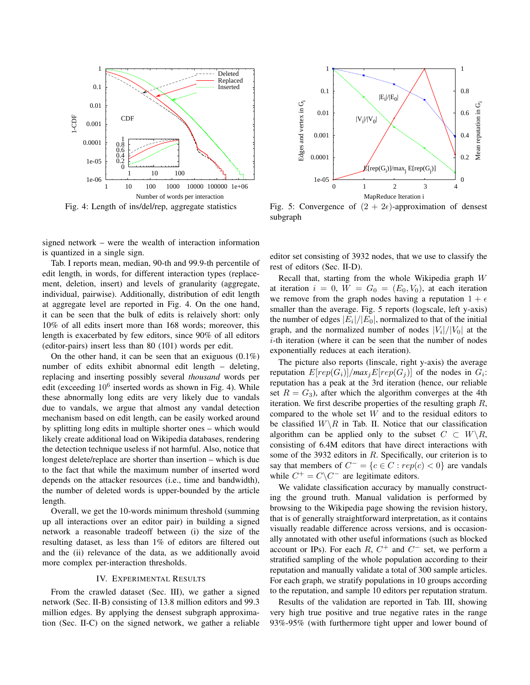

Fig. 4: Length of ins/del/rep, aggregate statistics

signed network – were the wealth of interaction information is quantized in a single sign.

Tab. I reports mean, median, 90-th and 99.9-th percentile of edit length, in words, for different interaction types (replacement, deletion, insert) and levels of granularity (aggregate, individual, pairwise). Additionally, distribution of edit length at aggregate level are reported in Fig. 4. On the one hand, it can be seen that the bulk of edits is relaively short: only 10% of all edits insert more than 168 words; moreover, this length is exacerbated by few editors, since 90% of all editors (editor-pairs) insert less than 80 (101) words per edit.

On the other hand, it can be seen that an exiguous  $(0.1\%)$ number of edits exhibit abnormal edit length – deleting, replacing and inserting possibly several *thousand* words per edit (exceeding  $10^6$  inserted words as shown in Fig. 4). While these abnormally long edits are very likely due to vandals due to vandals, we argue that almost any vandal detection mechanism based on edit length, can be easily worked around by splitting long edits in multiple shorter ones – which would likely create additional load on Wikipedia databases, rendering the detection technique useless if not harmful. Also, notice that longest delete/replace are shorter than insertion – which is due to the fact that while the maximum number of inserted word depends on the attacker resources (i.e., time and bandwidth), the number of deleted words is upper-bounded by the article length.

Overall, we get the 10-words minimum threshold (summing up all interactions over an editor pair) in building a signed network a reasonable tradeoff between (i) the size of the resulting dataset, as less than 1% of editors are filtered out and the (ii) relevance of the data, as we additionally avoid more complex per-interaction thresholds.

## IV. EXPERIMENTAL RESULTS

From the crawled dataset (Sec. III), we gather a signed network (Sec. II-B) consisting of 13.8 million editors and 99.3 million edges. By applying the densest subgraph approximation (Sec. II-C) on the signed network, we gather a reliable



Fig. 5: Convergence of  $(2 + 2\epsilon)$ -approximation of densest subgraph

editor set consisting of 3932 nodes, that we use to classify the rest of editors (Sec. II-D).

Recall that, starting from the whole Wikipedia graph *W* at iteration  $i = 0$ ,  $W = G_0 = (E_0, V_0)$ , at each iteration we remove from the graph nodes having a reputation  $1 + \epsilon$ smaller than the average. Fig. 5 reports (logscale, left y-axis) the number of edges  $|E_i|/|E_0|$ , normalized to that of the initial graph, and the normalized number of nodes  $|V_i|/|V_0|$  at the *i*-th iteration (where it can be seen that the number of nodes exponentially reduces at each iteration).

The picture also reports (linscale, right y-axis) the average reputation  $E[rep(G_i)]/max_j E[rep(G_j)]$  of the nodes in  $G_i$ : reputation has a peak at the 3rd iteration (hence, our reliable set  $R = G_3$ ), after which the algorithm converges at the 4th iteration. We first describe properties of the resulting graph *R*, compared to the whole set *W* and to the residual editors to be classified  $W \backslash R$  in Tab. II. Notice that our classification algorithm can be applied only to the subset  $C \subset W \backslash R$ , consisting of 6.4M editors that have direct interactions with some of the 3932 editors in *R*. Specifically, our criterion is to say that members of  $C^- = \{c \in C : rep(c) < 0\}$  are vandals while  $C^+ = C \setminus C^-$  are legitimate editors.

We validate classification accuracy by manually constructing the ground truth. Manual validation is performed by browsing to the Wikipedia page showing the revision history, that is of generally straightforward interpretation, as it contains visually readable difference across versions, and is occasionally annotated with other useful informations (such as blocked account or IPs). For each  $R$ ,  $C^+$  and  $C^-$  set, we perform a stratified sampling of the whole population according to their reputation and manually validate a total of 300 sample articles. For each graph, we stratify populations in 10 groups according to the reputation, and sample 10 editors per reputation stratum.

Results of the validation are reported in Tab. III, showing very high true positive and true negative rates in the range 93%-95% (with furthermore tight upper and lower bound of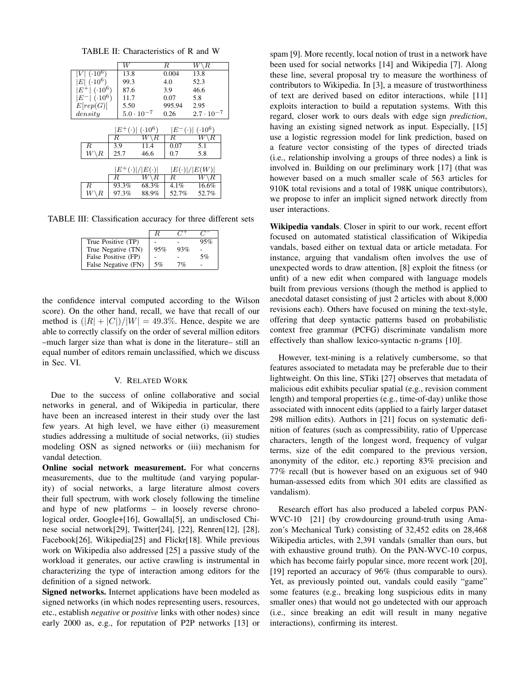TABLE II: Characteristics of R and W

|                                                | W                  |                     | R               | $\setminus R$<br>W  |  |
|------------------------------------------------|--------------------|---------------------|-----------------|---------------------|--|
| $(.10^{6})$                                    | 13.8               |                     | 0.004           | 13.8                |  |
| $E (.10^6)$                                    | 99.3               |                     | 4.0             | 52.3                |  |
| $(.10^6)$<br>$E^+$                             | 87.6               |                     | 3.9             | 46.6                |  |
| $ E^- $ ( $\cdot 10^6$ )                       | 11.7               |                     | 0.07            | 5.8                 |  |
| E[rep(G)]                                      | 5.50               |                     | 995.94          | 2.95                |  |
| density                                        |                    | $5.0 \cdot 10^{-7}$ | 0.26            | $2.7 \cdot 10^{-7}$ |  |
|                                                |                    |                     |                 |                     |  |
|                                                | $E^+$<br>$(\cdot)$ | $(.10^6)$           | ΙE<br>$(\cdot)$ | $(.10^6)$           |  |
|                                                | $_{\it R}$         | R                   | R               | к                   |  |
| R.                                             | 3.9                | 11.4                | 0.07            | 5.1                 |  |
| $W\backslash R$                                | 25.7               | 46.6                | 0.7             | 5.8                 |  |
|                                                |                    |                     |                 |                     |  |
| $E^+(\cdot) / E(\cdot) $<br>$ E(\cdot) / E(W $ |                    |                     |                 |                     |  |
|                                                | R                  | R<br>W              | R               | R                   |  |
| R                                              | 93.3%              | 68.3%               | 4.1%            | 16.6%               |  |
|                                                | 97.3%              | 88.9%               | 52.7%           | 52.7%               |  |

TABLE III: Classification accuracy for three different sets

|                     | $\mathcal{F}$ |     |     |
|---------------------|---------------|-----|-----|
| True Positive (TP)  |               |     | 95% |
| True Negative (TN)  | 95%           | 93% |     |
| False Positive (FP) |               |     | 5%  |
| False Negative (FN) | 5%            | 7%  |     |

the confidence interval computed according to the Wilson score). On the other hand, recall, we have that recall of our method is  $(|R| + |C|)/|W| = 49.3\%$ . Hence, despite we are able to correctly classify on the order of several million editors –much larger size than what is done in the literature– still an equal number of editors remain unclassified, which we discuss in Sec. VI.

# V. RELATED WORK

Due to the success of online collaborative and social networks in general, and of Wikipedia in particular, there have been an increased interest in their study over the last few years. At high level, we have either (i) measurement studies addressing a multitude of social networks, (ii) studies modeling OSN as signed networks or (iii) mechanism for vandal detection.

Online social network measurement. For what concerns measurements, due to the multitude (and varying popularity) of social networks, a large literature almost covers their full spectrum, with work closely following the timeline and hype of new platforms – in loosely reverse chronological order, Google+[16], Gowalla[5], an undisclosed Chinese social network[29], Twitter[24], [22], Renren[12], [28], Facebook[26], Wikipedia[25] and Flickr[18]. While previous work on Wikipedia also addressed [25] a passive study of the workload it generates, our active crawling is instrumental in characterizing the type of interaction among editors for the definition of a signed network.

Signed networks. Internet applications have been modeled as signed networks (in which nodes representing users, resources, etc., establish *negative* or *positive* links with other nodes) since early 2000 as, e.g., for reputation of P2P networks [13] or

spam [9]. More recently, local notion of trust in a network have been used for social networks [14] and Wikipedia [7]. Along these line, several proposal try to measure the worthiness of contributors to Wikipedia. In [3], a measure of trustworthiness of text are derived based on editor interactions, while [11] exploits interaction to build a reputation systems. With this regard, closer work to ours deals with edge sign *prediction*, having an existing signed network as input. Especially, [15] use a logistic regression model for link prediction, based on a feature vector consisting of the types of directed triads (i.e., relationship involving a groups of three nodes) a link is involved in. Building on our preliminary work [17] (that was however based on a much smaller scale of 563 articles for 910K total revisions and a total of 198K unique contributors), we propose to infer an implicit signed network directly from user interactions.

Wikipedia vandals. Closer in spirit to our work, recent effort focused on automated statistical classification of Wikipedia vandals, based either on textual data or article metadata. For instance, arguing that vandalism often involves the use of unexpected words to draw attention, [8] exploit the fitness (or unfit) of a new edit when compared with language models built from previous versions (though the method is applied to anecdotal dataset consisting of just 2 articles with about 8,000 revisions each). Others have focused on mining the text-style, offering that deep syntactic patterns based on probabilistic context free grammar (PCFG) discriminate vandalism more effectively than shallow lexico-syntactic n-grams [10].

However, text-mining is a relatively cumbersome, so that features associated to metadata may be preferable due to their lightweight. On this line, STiki [27] observes that metadata of malicious edit exhibits peculiar spatial (e.g., revision comment length) and temporal properties (e.g., time-of-day) unlike those associated with innocent edits (applied to a fairly larger dataset 298 million edits). Authors in [21] focus on systematic definition of features (such as compressibility, ratio of Uppercase characters, length of the longest word, frequency of vulgar terms, size of the edit compared to the previous version, anonymity of the editor, etc.) reporting 83% precision and 77% recall (but is however based on an exiguous set of 940 human-assessed edits from which 301 edits are classified as vandalism).

Research effort has also produced a labeled corpus PAN-WVC-10 [21] (by crowdourcing ground-truth using Amazon's Mechanical Turk) consisting of 32,452 edits on 28,468 Wikipedia articles, with 2,391 vandals (smaller than ours, but with exhaustive ground truth). On the PAN-WVC-10 corpus, which has become fairly popular since, more recent work [20], [19] reported an accuracy of 96% (thus comparable to ours). Yet, as previously pointed out, vandals could easily "game" some features (e.g., breaking long suspicious edits in many smaller ones) that would not go undetected with our approach (i.e., since breaking an edit will result in many negative interactions), confirming its interest.